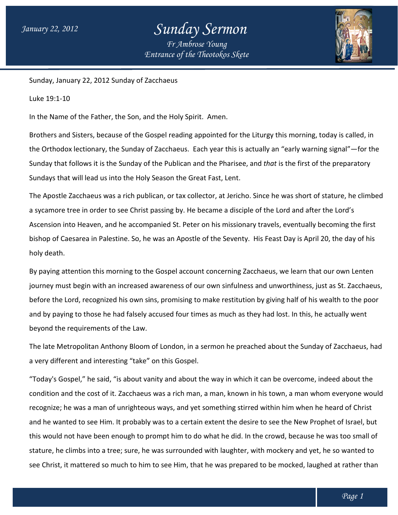## *Sunday Sermon Fr Ambrose Young*

*Entrance of the Theotokos Skete*



Sunday, January 22, 2012 Sunday of Zacch Zacchaeus

Luke 19:1-10

In the Name of the Father, the Son, and the Holy Spirit. Amen.

Brothers and Sisters, because of the Gospel reading appointed for the Liturgy this morning, today is called, in<br>the Orthodox lectionary, the Sunday of Zacchaeus. Each year this is actually an "early warning signal"—for th the Orthodox lectionary, the Sunday of Zacchaeus. Each year this is actually an "early warning signal"—for the Sunday that follows it is the Sunday of the Publican and the Pharisee, and *that* is the first of the preparatory Sundays that will lead us into the Holy Season the Great Fast, Lent. Sundays that will lead us into the Holy Season the Great Fast, Lent.<br>The Apostle Zacchaeus was a rich publican, or tax collector, at Jericho. Since he was short of stature, he climbed

a sycamore tree in order to see Christ passing by. He became a disciple of the Lord and after the Lord's Ascension into Heaven, and he accompanied St. Peter on his missionary travels, eventually becoming the first bishop of Caesarea in Palestine. So, he was an Apostle of the Seventy. holy death. a sycamore tree in order to see Christ passing by. He became a disciple of the Lord and after the Lord's<br>Ascension into Heaven, and he accompanied St. Peter on his missionary travels, eventually becoming the first<br>bishop o

By paying attention this morning to the Gospel account concerning Zacchaeus, we learn that our own Lenten journey must begin with an increased awareness of our own sinfulness and unworthiness, just as St. Zacchaeus, before the Lord, recognized his own sins, promising to make restitution by giving half of his wealth to the poor and by paying to those he had falsely accused four times as much as they had lost. In this, he actually went beyond the requirements of the Law. ng attention this morning to the Gospel account concerning Zacchaeus, we learn that our own Lente<br>In must begin with an increased awareness of our own sinfulness and unworthiness, just as St. Zaccha<br>the Lord, recognized hi is the first of the preparatory<br>
Show Since he was short of stature, he climbe<br>
sciple of the Lord and after the Lord's<br>
ionary travels, eventually becoming the first<br>
nty. His Feast Day is April 20, the day of his<br>
g Zacc

The late Metropolitan Anthony Bloom of London, in a sermon he preached about the Sunday of Zacchaeus, had<br>a very different and interesting "take" on this Gospel.<br>"Today's Gospel," he said, "is about vanity and about the wa a very different and interesting "take" on this Gospel.

"Today's Gospel," he said, "is about vanity and about the way in which it can be overcome, indeed about the condition and the cost of it. Zacchaeus was a rich man, a man, known in his town, a man whom everyone would<br>recognize; he was a man of unrighteous ways, and yet something stirred within him when he heard of Christ recognize; he was a man of unrighteous ways, and yet something stirred within him when he heard of Christ and he wanted to see Him. It probably was to a certain extent the desire to see the New Prophet of Israel, but this would not have been enough to prompt him to do what he did. In the crowd, because h stature, he climbs into a tree; sure, he was surrounded with laughter, with mockery and yet, he so wanted to see Christ, it mattered so much to him to see Him, that he was prepared to be mocked, laughed at rather than and he wanted to see Him. It probably was to a certain extent the desire to see the New Prophet of Israel, I<br>this would not have been enough to prompt him to do what he did. In the crowd, because he was too smal<br>stature, h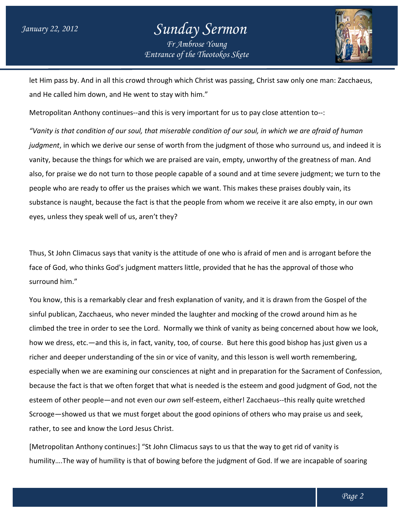## *Entrance of the Theotokos Skete Sunday Sermon Fr Ambrose Young*



let Him pass by. And in all this crowd through which Christ was passing, Christ saw only one man: Zacchaeus, and He called him down, and He went to stay with him." let Him pass by. And in all this crowd through which Christ was passing, Christ saw only one m<br>and He called him down, and He went to stay with him."<br>Metropolitan Anthony continues--and this is very important for us to pay

"Vanity is that condition of our soul, that miserable condition of our soul, in which we are afraid of human *judgment,* in which we derive our sense of worth from the judgment of those who surround us, and indeed it is<br>vanity, because the things for which we are praised are vain, empty, unworthy of the greatness of man. And vanity, because the things for which we are praised are vain, empty, unworthy of the greatness of man. And also, for praise we do not turn to those people capable of a sound and at time severe judgment; we turn to the people who are ready to offer us the praises which we want. This makes these praises doubl substance is naught, because the fact is that the people from whom we receive it are also empty, in our own eyes, unless they speak well of us, aren't they? also, for praise we do not turn to those people capable of a sound and at time severe judgment; we turn to the<br>people who are ready to offer us the praises which we want. This makes these praises doubly vain, its<br>substance are vain, empty, unworthy of the greatness of mar<br>ble of a sound and at time severe judgment; we tu<br>we want. This makes these praises doubly vain, its

Thus, St John Climacus says that vanity is the attitude of one who is afraid of men and is arrogant before the face of God, who thinks God's judgment matters little, provided that he has the approval of those who surround him."

You know, this is a remarkably clear and fresh explanation of vanity, and it is drawn from the Gospel of the sinful publican, Zacchaeus, who never minded the laughter and mocking of the crowd around him as he climbed the tree in order to see the Lord. Normally we think of vanity as being concerned about how we look,<br>how we dress, etc.—and this is, in fact, vanity, too, of course. But here this good bishop has just given us a<br>ri how we dress, etc.—and this is, in fact, vanity, too, of course. But here this good bishop has just given us a richer and deeper understanding of the sin or vice of vanity, and this lesson is well worth remembering, richer and deeper understanding of the sin or vice of vanity, and this lesson is well worth r<br>especially when we are examining our consciences at night and in preparation for the Sacr because the fact is that we often forget that what is needed is the esteem and good judgment of God, not the<br>esteem of other people—and not even our *own s*elf-esteem, either! Zacchaeus--this really quite wretched esteem of other people-and not even our own self-esteem, either! Zacchaeus--this Scrooge—showed us that we must forget about the good opinions of others who may praise us and seek, rather, to see and know the Lord Jesus Christ.

[Metropolitan Anthony continues:] "St John Climacus says to us that the way to get rid of vanity is Scrooge—showed us that we must forget about the good opinions of others who may praise us and seek,<br>rather, to see and know the Lord Jesus Christ.<br>[Metropolitan Anthony continues:] "St John Climacus says to us that the way